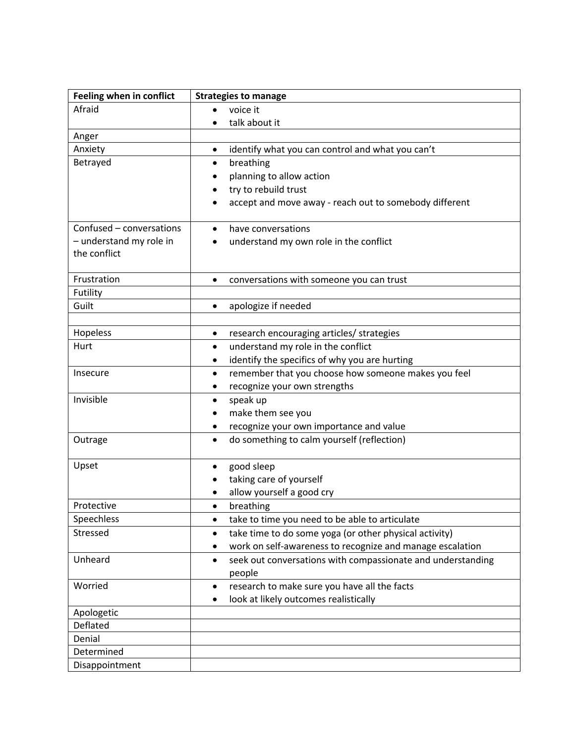| Feeling when in conflict | <b>Strategies to manage</b>                                              |
|--------------------------|--------------------------------------------------------------------------|
| Afraid                   | voice it<br>$\bullet$                                                    |
|                          | talk about it                                                            |
| Anger                    |                                                                          |
| Anxiety                  | identify what you can control and what you can't<br>$\bullet$            |
| Betrayed                 | breathing<br>$\bullet$                                                   |
|                          | planning to allow action                                                 |
|                          | try to rebuild trust                                                     |
|                          | accept and move away - reach out to somebody different                   |
|                          |                                                                          |
| Confused - conversations | have conversations<br>$\bullet$                                          |
| - understand my role in  | understand my own role in the conflict                                   |
| the conflict             |                                                                          |
|                          |                                                                          |
| Frustration              | conversations with someone you can trust<br>$\bullet$                    |
| Futility                 |                                                                          |
| Guilt                    | apologize if needed<br>$\bullet$                                         |
|                          |                                                                          |
| Hopeless                 | research encouraging articles/ strategies<br>$\bullet$                   |
| Hurt                     | understand my role in the conflict<br>$\bullet$                          |
|                          | identify the specifics of why you are hurting<br>٠                       |
| Insecure                 | remember that you choose how someone makes you feel<br>٠                 |
|                          | recognize your own strengths                                             |
| Invisible                | speak up<br>$\bullet$                                                    |
|                          | make them see you<br>٠                                                   |
|                          | recognize your own importance and value<br>٠                             |
| Outrage                  | do something to calm yourself (reflection)<br>$\bullet$                  |
| Upset                    | good sleep<br>٠                                                          |
|                          | taking care of yourself                                                  |
|                          | allow yourself a good cry                                                |
| Protective               | breathing                                                                |
| Speechless               | take to time you need to be able to articulate<br>$\bullet$              |
| Stressed                 | take time to do some yoga (or other physical activity)<br>$\bullet$      |
|                          | work on self-awareness to recognize and manage escalation<br>٠           |
| Unheard                  | seek out conversations with compassionate and understanding<br>$\bullet$ |
|                          | people                                                                   |
| Worried                  | research to make sure you have all the facts<br>$\bullet$                |
|                          | look at likely outcomes realistically<br>٠                               |
| Apologetic               |                                                                          |
| Deflated                 |                                                                          |
| Denial                   |                                                                          |
| Determined               |                                                                          |
| Disappointment           |                                                                          |